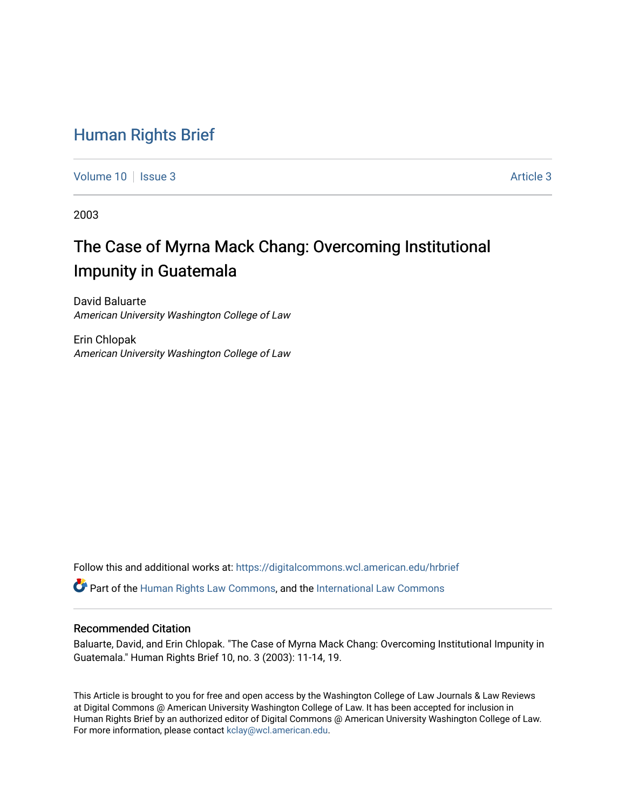# [Human Rights Brief](https://digitalcommons.wcl.american.edu/hrbrief)

[Volume 10](https://digitalcommons.wcl.american.edu/hrbrief/vol10) | [Issue 3](https://digitalcommons.wcl.american.edu/hrbrief/vol10/iss3) [Article 3](https://digitalcommons.wcl.american.edu/hrbrief/vol10/iss3/3) Article 3

2003

# The Case of Myrna Mack Chang: Overcoming Institutional Impunity in Guatemala

David Baluarte American University Washington College of Law

Erin Chlopak American University Washington College of Law

Follow this and additional works at: [https://digitalcommons.wcl.american.edu/hrbrief](https://digitalcommons.wcl.american.edu/hrbrief?utm_source=digitalcommons.wcl.american.edu%2Fhrbrief%2Fvol10%2Fiss3%2F3&utm_medium=PDF&utm_campaign=PDFCoverPages) 

Part of the [Human Rights Law Commons,](http://network.bepress.com/hgg/discipline/847?utm_source=digitalcommons.wcl.american.edu%2Fhrbrief%2Fvol10%2Fiss3%2F3&utm_medium=PDF&utm_campaign=PDFCoverPages) and the [International Law Commons](http://network.bepress.com/hgg/discipline/609?utm_source=digitalcommons.wcl.american.edu%2Fhrbrief%2Fvol10%2Fiss3%2F3&utm_medium=PDF&utm_campaign=PDFCoverPages) 

# Recommended Citation

Baluarte, David, and Erin Chlopak. "The Case of Myrna Mack Chang: Overcoming Institutional Impunity in Guatemala." Human Rights Brief 10, no. 3 (2003): 11-14, 19.

This Article is brought to you for free and open access by the Washington College of Law Journals & Law Reviews at Digital Commons @ American University Washington College of Law. It has been accepted for inclusion in Human Rights Brief by an authorized editor of Digital Commons @ American University Washington College of Law. For more information, please contact [kclay@wcl.american.edu.](mailto:kclay@wcl.american.edu)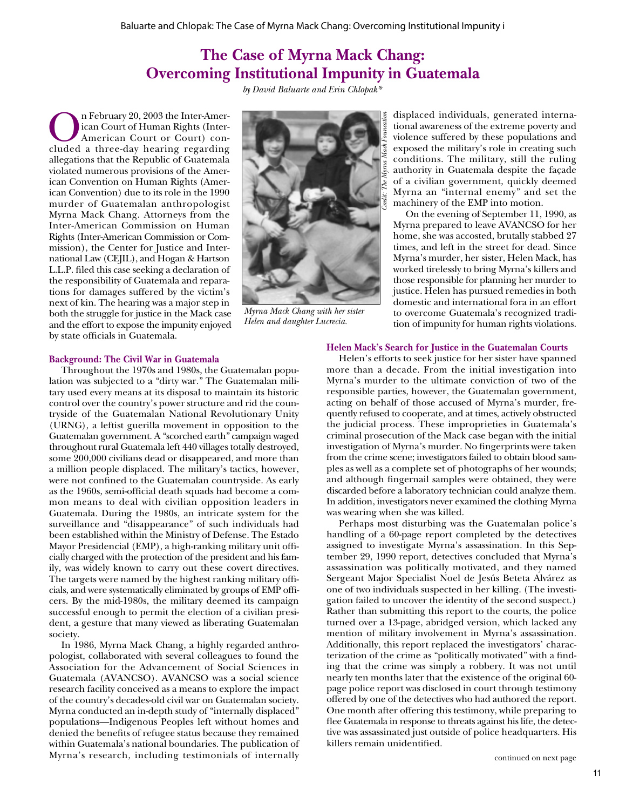# **The Case of Myrna Mack Chang: Overcoming Institutional Impunity in Guatemala**

*by David Baluarte and Erin Chlopak\**

On February 20, 2003 the Inter-Amer-<br>
cluded a three-day hearing regarding<br>
cluded a three-day hearing regarding ican Court of Human Rights (Inter-American Court or Court) conallegations that the Republic of Guatemala violated numerous provisions of the American Convention on Human Rights (American Convention) due to its role in the 1990 murder of Guatemalan anthropologist Myrna Mack Chang. Attorneys from the Inter-American Commission on Human Rights (Inter-American Commission or Commission), the Center for Justice and International Law (CEJIL), and Hogan & Hartson L.L.P. filed this case seeking a declaration of the responsibility of Guatemala and reparations for damages suffered by the victim's next of kin. The hearing was a major step in both the struggle for justice in the Mack case and the effort to expose the impunity enjoyed by state officials in Guatemala.



*Myrna Mack Chang with her sister Helen and daughter Lucrecia.*

displaced individuals, generated international awareness of the extreme poverty and violence suffered by these populations and exposed the military's role in creating such conditions. The military, still the ruling authority in Guatemala despite the façade of a civilian government, quickly deemed Myrna an "internal enemy" and set the machinery of the EMP into motion.

On the evening of September 11, 1990, as Myrna prepared to leave AVANCSO for her home, she was accosted, brutally stabbed 27 times, and left in the street for dead. Since Myrna's murder, her sister, Helen Mack, has worked tirelessly to bring Myrna's killers and those responsible for planning her murder to justice. Helen has pursued remedies in both domestic and international fora in an effort to overcome Guatemala's recognized tradition of impunity for human rights violations.

#### **Background: The Civil War in Guatemala**

Throughout the 1970s and 1980s, the Guatemalan population was subjected to a "dirty war." The Guatemalan military used every means at its disposal to maintain its historic control over the country's power structure and rid the countryside of the Guatemalan National Revolutionary Unity (URNG), a leftist guerilla movement in opposition to the Guatemalan government. A "scorched earth" campaign waged throughout rural Guatemala left 440 villages totally destroyed, some 200,000 civilians dead or disappeared, and more than a million people displaced. The military's tactics, however, were not confined to the Guatemalan countryside. As early as the 1960s, semi-official death squads had become a common means to deal with civilian opposition leaders in Guatemala. During the 1980s, an intricate system for the surveillance and "disappearance" of such individuals had been established within the Ministry of Defense. The Estado Mayor Presidencial (EMP), a high-ranking military unit officially charged with the protection of the president and his family, was widely known to carry out these covert directives. The targets were named by the highest ranking military officials, and were systematically eliminated by groups of EMP officers. By the mid-1980s, the military deemed its campaign successful enough to permit the election of a civilian president, a gesture that many viewed as liberating Guatemalan society.

In 1986, Myrna Mack Chang, a highly regarded anthropologist, collaborated with several colleagues to found the Association for the Advancement of Social Sciences in Guatemala (AVANCSO). AVANCSO was a social science research facility conceived as a means to explore the impact of the country's decades-old civil war on Guatemalan society. Myrna conducted an in-depth study of "internally displaced" populations—Indigenous Peoples left without homes and denied the benefits of refugee status because they remained within Guatemala's national boundaries. The publication of Myrna's research, including testimonials of internally

#### **Helen Mack's Search for Justice in the Guatemalan Courts**

Helen's efforts to seek justice for her sister have spanned more than a decade. From the initial investigation into Myrna's murder to the ultimate conviction of two of the responsible parties, however, the Guatemalan government, acting on behalf of those accused of Myrna's murder, frequently refused to cooperate, and at times, actively obstructed the judicial process. These improprieties in Guatemala's criminal prosecution of the Mack case began with the initial investigation of Myrna's murder. No fingerprints were taken from the crime scene; investigators failed to obtain blood samples as well as a complete set of photographs of her wounds; and although fingernail samples were obtained, they were discarded before a laboratory technician could analyze them. In addition, investigators never examined the clothing Myrna was wearing when she was killed.

Perhaps most disturbing was the Guatemalan police's handling of a 60-page report completed by the detectives assigned to investigate Myrna's assassination. In this September 29, 1990 report, detectives concluded that Myrna's assassination was politically motivated, and they named Sergeant Major Specialist Noel de Jesús Beteta Alvárez as one of two individuals suspected in her killing. (The investigation failed to uncover the identity of the second suspect.) Rather than submitting this report to the courts, the police turned over a 13-page, abridged version, which lacked any mention of military involvement in Myrna's assassination. Additionally, this report replaced the investigators' characterization of the crime as "politically motivated" with a finding that the crime was simply a robbery. It was not until nearly ten months later that the existence of the original 60 page police report was disclosed in court through testimony offered by one of the detectives who had authored the report. One month after offering this testimony, while preparing to flee Guatemala in response to threats against his life, the detective was assassinated just outside of police headquarters. His killers remain unidentified.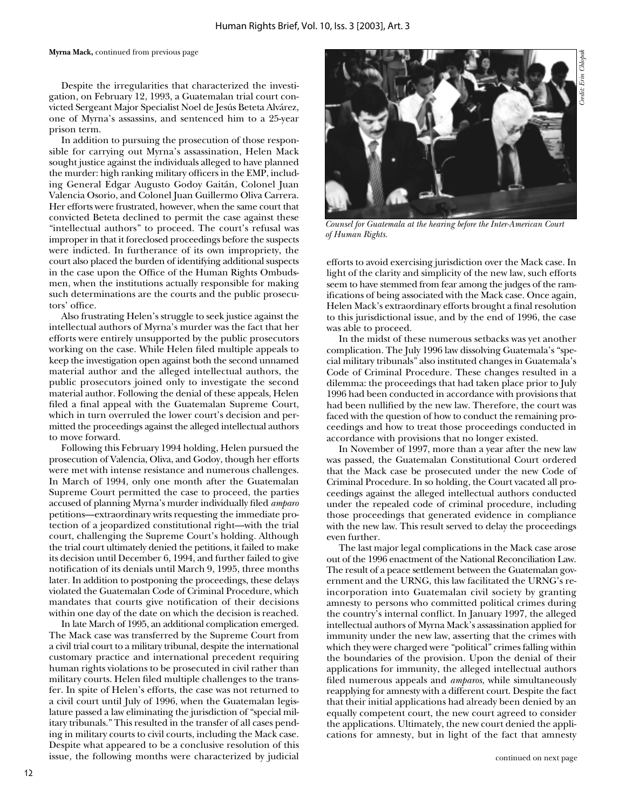#### **Myrna Mack,** continued from previous page

Despite the irregularities that characterized the investigation, on February 12, 1993, a Guatemalan trial court convicted Sergeant Major Specialist Noel de Jesús Beteta Alvárez, one of Myrna's assassins, and sentenced him to a 25-year prison term.

In addition to pursuing the prosecution of those responsible for carrying out Myrna's assassination, Helen Mack sought justice against the individuals alleged to have planned the murder: high ranking military officers in the EMP, including General Edgar Augusto Godoy Gaitán, Colonel Juan Valencia Osorio, and Colonel Juan Guillermo Oliva Carrera. Her efforts were frustrated, however, when the same court that convicted Beteta declined to permit the case against these "intellectual authors" to proceed. The court's refusal was improper in that it foreclosed proceedings before the suspects were indicted. In furtherance of its own impropriety, the court also placed the burden of identifying additional suspects in the case upon the Office of the Human Rights Ombudsmen, when the institutions actually responsible for making such determinations are the courts and the public prosecutors' office.

Also frustrating Helen's struggle to seek justice against the intellectual authors of Myrna's murder was the fact that her efforts were entirely unsupported by the public prosecutors working on the case. While Helen filed multiple appeals to keep the investigation open against both the second unnamed material author and the alleged intellectual authors, the public prosecutors joined only to investigate the second material author. Following the denial of these appeals, Helen filed a final appeal with the Guatemalan Supreme Court, which in turn overruled the lower court's decision and permitted the proceedings against the alleged intellectual authors to move forward.

Following this February 1994 holding, Helen pursued the prosecution of Valencia, Oliva, and Godoy, though her efforts were met with intense resistance and numerous challenges. In March of 1994, only one month after the Guatemalan Supreme Court permitted the case to proceed, the parties accused of planning Myrna's murder individually filed *amparo* petitions—extraordinary writs requesting the immediate protection of a jeopardized constitutional right—with the trial court, challenging the Supreme Court's holding. Although the trial court ultimately denied the petitions, it failed to make its decision until December 6, 1994, and further failed to give notification of its denials until March 9, 1995, three months later. In addition to postponing the proceedings, these delays violated the Guatemalan Code of Criminal Procedure, which mandates that courts give notification of their decisions within one day of the date on which the decision is reached.

In late March of 1995, an additional complication emerged. The Mack case was transferred by the Supreme Court from a civil trial court to a military tribunal, despite the international customary practice and international precedent requiring human rights violations to be prosecuted in civil rather than military courts. Helen filed multiple challenges to the transfer. In spite of Helen's efforts, the case was not returned to a civil court until July of 1996, when the Guatemalan legislature passed a law eliminating the jurisdiction of "special military tribunals." This resulted in the transfer of all cases pending in military courts to civil courts, including the Mack case. Despite what appeared to be a conclusive resolution of this issue, the following months were characterized by judicial



*Counsel for Guatemala at the hearing before the Inter-American Court of Human Rights.*

efforts to avoid exercising jurisdiction over the Mack case. In light of the clarity and simplicity of the new law, such efforts seem to have stemmed from fear among the judges of the ramifications of being associated with the Mack case. Once again, Helen Mack's extraordinary efforts brought a final resolution to this jurisdictional issue, and by the end of 1996, the case was able to proceed.

In the midst of these numerous setbacks was yet another complication. The July 1996 law dissolving Guatemala's "special military tribunals" also instituted changes in Guatemala's Code of Criminal Procedure. These changes resulted in a dilemma: the proceedings that had taken place prior to July 1996 had been conducted in accordance with provisions that had been nullified by the new law. Therefore, the court was faced with the question of how to conduct the remaining proceedings and how to treat those proceedings conducted in accordance with provisions that no longer existed.

In November of 1997, more than a year after the new law was passed, the Guatemalan Constitutional Court ordered that the Mack case be prosecuted under the new Code of Criminal Procedure. In so holding, the Court vacated all proceedings against the alleged intellectual authors conducted under the repealed code of criminal procedure, including those proceedings that generated evidence in compliance with the new law. This result served to delay the proceedings even further.

The last major legal complications in the Mack case arose out of the 1996 enactment of the National Reconciliation Law. The result of a peace settlement between the Guatemalan government and the URNG, this law facilitated the URNG's reincorporation into Guatemalan civil society by granting amnesty to persons who committed political crimes during the country's internal conflict. In January 1997, the alleged intellectual authors of Myrna Mack's assassination applied for immunity under the new law, asserting that the crimes with which they were charged were "political" crimes falling within the boundaries of the provision. Upon the denial of their applications for immunity, the alleged intellectual authors filed numerous appeals and *amparos*, while simultaneously reapplying for amnesty with a different court. Despite the fact that their initial applications had already been denied by an equally competent court, the new court agreed to consider the applications. Ultimately, the new court denied the applications for amnesty, but in light of the fact that amnesty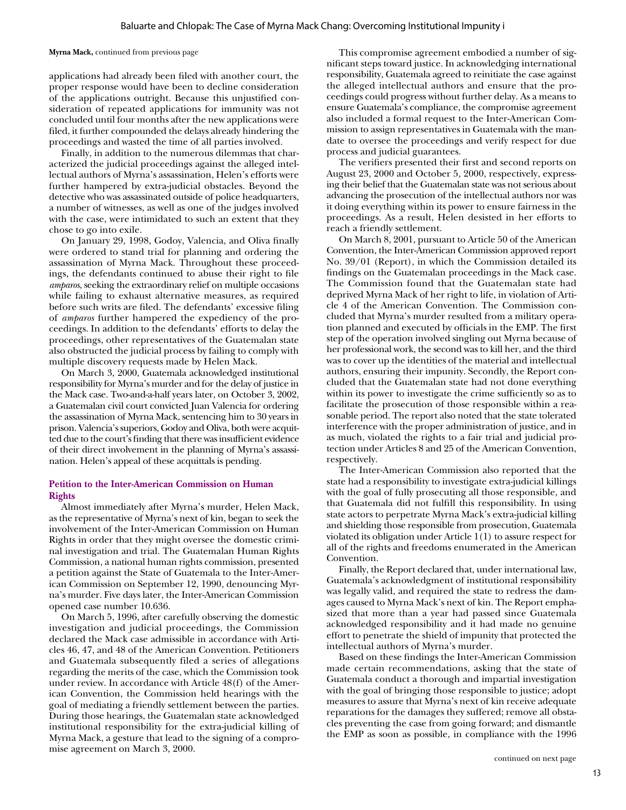**Myrna Mack,** continued from previous page

applications had already been filed with another court, the proper response would have been to decline consideration of the applications outright. Because this unjustified consideration of repeated applications for immunity was not concluded until four months after the new applications were filed, it further compounded the delays already hindering the proceedings and wasted the time of all parties involved.

Finally, in addition to the numerous dilemmas that characterized the judicial proceedings against the alleged intellectual authors of Myrna's assassination, Helen's efforts were further hampered by extra-judicial obstacles. Beyond the detective who was assassinated outside of police headquarters, a number of witnesses, as well as one of the judges involved with the case, were intimidated to such an extent that they chose to go into exile.

On January 29, 1998, Godoy, Valencia, and Oliva finally were ordered to stand trial for planning and ordering the assassination of Myrna Mack. Throughout these proceedings, the defendants continued to abuse their right to file *amparos*, seeking the extraordinary relief on multiple occasions while failing to exhaust alternative measures, as required before such writs are filed. The defendants' excessive filing of *amparos* further hampered the expediency of the proceedings. In addition to the defendants' efforts to delay the proceedings, other representatives of the Guatemalan state also obstructed the judicial process by failing to comply with multiple discovery requests made by Helen Mack.

On March 3, 2000, Guatemala acknowledged institutional responsibility for Myrna's murder and for the delay of justice in the Mack case. Two-and-a-half years later, on October 3, 2002, a Guatemalan civil court convicted Juan Valencia for ordering the assassination of Myrna Mack, sentencing him to 30 years in prison. Valencia's superiors, Godoy and Oliva, both were acquitted due to the court's finding that there was insufficient evidence of their direct involvement in the planning of Myrna's assassination. Helen's appeal of these acquittals is pending.

### **Petition to the Inter-American Commission on Human Rights**

Almost immediately after Myrna's murder, Helen Mack, as the representative of Myrna's next of kin, began to seek the involvement of the Inter-American Commission on Human Rights in order that they might oversee the domestic criminal investigation and trial. The Guatemalan Human Rights Commission, a national human rights commission, presented a petition against the State of Guatemala to the Inter-American Commission on September 12, 1990, denouncing Myrna's murder. Five days later, the Inter-American Commission opened case number 10.636.

On March 5, 1996, after carefully observing the domestic investigation and judicial proceedings, the Commission declared the Mack case admissible in accordance with Articles 46, 47, and 48 of the American Convention. Petitioners and Guatemala subsequently filed a series of allegations regarding the merits of the case, which the Commission took under review. In accordance with Article 48(f) of the American Convention, the Commission held hearings with the goal of mediating a friendly settlement between the parties. During those hearings, the Guatemalan state acknowledged institutional responsibility for the extra-judicial killing of Myrna Mack, a gesture that lead to the signing of a compromise agreement on March 3, 2000.

This compromise agreement embodied a number of significant steps toward justice. In acknowledging international responsibility, Guatemala agreed to reinitiate the case against the alleged intellectual authors and ensure that the proceedings could progress without further delay. As a means to ensure Guatemala's compliance, the compromise agreement also included a formal request to the Inter-American Commission to assign representatives in Guatemala with the mandate to oversee the proceedings and verify respect for due process and judicial guarantees.

The verifiers presented their first and second reports on August 23, 2000 and October 5, 2000, respectively, expressing their belief that the Guatemalan state was not serious about advancing the prosecution of the intellectual authors nor was it doing everything within its power to ensure fairness in the proceedings. As a result, Helen desisted in her efforts to reach a friendly settlement.

On March 8, 2001, pursuant to Article 50 of the American Convention, the Inter-American Commission approved report No. 39/01 (Report), in which the Commission detailed its findings on the Guatemalan proceedings in the Mack case. The Commission found that the Guatemalan state had deprived Myrna Mack of her right to life, in violation of Article 4 of the American Convention. The Commission concluded that Myrna's murder resulted from a military operation planned and executed by officials in the EMP. The first step of the operation involved singling out Myrna because of her professional work, the second was to kill her, and the third was to cover up the identities of the material and intellectual authors, ensuring their impunity. Secondly, the Report concluded that the Guatemalan state had not done everything within its power to investigate the crime sufficiently so as to facilitate the prosecution of those responsible within a reasonable period. The report also noted that the state tolerated interference with the proper administration of justice, and in as much, violated the rights to a fair trial and judicial protection under Articles 8 and 25 of the American Convention, respectively.

The Inter-American Commission also reported that the state had a responsibility to investigate extra-judicial killings with the goal of fully prosecuting all those responsible, and that Guatemala did not fulfill this responsibility. In using state actors to perpetrate Myrna Mack's extra-judicial killing and shielding those responsible from prosecution, Guatemala violated its obligation under Article 1(1) to assure respect for all of the rights and freedoms enumerated in the American Convention.

Finally, the Report declared that, under international law, Guatemala's acknowledgment of institutional responsibility was legally valid, and required the state to redress the damages caused to Myrna Mack's next of kin. The Report emphasized that more than a year had passed since Guatemala acknowledged responsibility and it had made no genuine effort to penetrate the shield of impunity that protected the intellectual authors of Myrna's murder.

Based on these findings the Inter-American Commission made certain recommendations, asking that the state of Guatemala conduct a thorough and impartial investigation with the goal of bringing those responsible to justice; adopt measures to assure that Myrna's next of kin receive adequate reparations for the damages they suffered; remove all obstacles preventing the case from going forward; and dismantle the EMP as soon as possible, in compliance with the 1996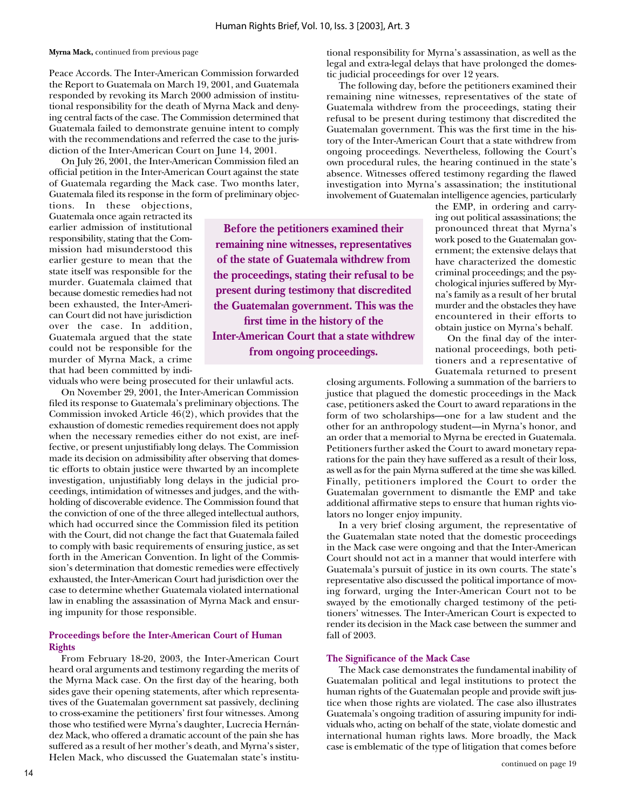**Myrna Mack,** continued from previous page

Peace Accords. The Inter-American Commission forwarded the Report to Guatemala on March 19, 2001, and Guatemala responded by revoking its March 2000 admission of institutional responsibility for the death of Myrna Mack and denying central facts of the case. The Commission determined that Guatemala failed to demonstrate genuine intent to comply with the recommendations and referred the case to the jurisdiction of the Inter-American Court on June 14, 2001.

On July 26, 2001, the Inter-American Commission filed an official petition in the Inter-American Court against the state of Guatemala regarding the Mack case. Two months later, Guatemala filed its response in the form of preliminary objec-

tions. In these objections, Guatemala once again retracted its earlier admission of institutional responsibility, stating that the Commission had misunderstood this earlier gesture to mean that the state itself was responsible for the murder. Guatemala claimed that because domestic remedies had not been exhausted, the Inter-American Court did not have jurisdiction over the case. In addition, Guatemala argued that the state could not be responsible for the murder of Myrna Mack, a crime that had been committed by indi-

viduals who were being prosecuted for their unlawful acts.

On November 29, 2001, the Inter-American Commission filed its response to Guatemala's preliminary objections. The Commission invoked Article 46(2), which provides that the exhaustion of domestic remedies requirement does not apply when the necessary remedies either do not exist, are ineffective, or present unjustifiably long delays. The Commission made its decision on admissibility after observing that domestic efforts to obtain justice were thwarted by an incomplete investigation, unjustifiably long delays in the judicial proceedings, intimidation of witnesses and judges, and the withholding of discoverable evidence. The Commission found that the conviction of one of the three alleged intellectual authors, which had occurred since the Commission filed its petition with the Court, did not change the fact that Guatemala failed to comply with basic requirements of ensuring justice, as set forth in the American Convention. In light of the Commission's determination that domestic remedies were effectively exhausted, the Inter-American Court had jurisdiction over the case to determine whether Guatemala violated international law in enabling the assassination of Myrna Mack and ensuring impunity for those responsible.

# **Proceedings before the Inter-American Court of Human Rights**

From February 18-20, 2003, the Inter-American Court heard oral arguments and testimony regarding the merits of the Myrna Mack case. On the first day of the hearing, both sides gave their opening statements, after which representatives of the Guatemalan government sat passively, declining to cross-examine the petitioners' first four witnesses. Among those who testified were Myrna's daughter, Lucrecia Hernández Mack, who offered a dramatic account of the pain she has suffered as a result of her mother's death, and Myrna's sister, Helen Mack, who discussed the Guatemalan state's institutional responsibility for Myrna's assassination, as well as the legal and extra-legal delays that have prolonged the domestic judicial proceedings for over 12 years.

The following day, before the petitioners examined their remaining nine witnesses, representatives of the state of Guatemala withdrew from the proceedings, stating their refusal to be present during testimony that discredited the Guatemalan government. This was the first time in the history of the Inter-American Court that a state withdrew from ongoing proceedings. Nevertheless, following the Court's own procedural rules, the hearing continued in the state's absence. Witnesses offered testimony regarding the flawed investigation into Myrna's assassination; the institutional involvement of Guatemalan intelligence agencies, particularly

**Before the petitioners examined their remaining nine witnesses, representatives of the state of Guatemala withdrew from the proceedings, stating their refusal to be present during testimony that discredited the Guatemalan government. This was the first time in the history of the Inter-American Court that a state withdrew from ongoing proceedings.**

the EMP, in ordering and carrying out political assassinations; the pronounced threat that Myrna's work posed to the Guatemalan government; the extensive delays that have characterized the domestic criminal proceedings; and the psychological injuries suffered by Myrna's family as a result of her brutal murder and the obstacles they have encountered in their efforts to obtain justice on Myrna's behalf.

On the final day of the international proceedings, both petitioners and a representative of Guatemala returned to present

closing arguments. Following a summation of the barriers to justice that plagued the domestic proceedings in the Mack case, petitioners asked the Court to award reparations in the form of two scholarships—one for a law student and the other for an anthropology student—in Myrna's honor, and an order that a memorial to Myrna be erected in Guatemala. Petitioners further asked the Court to award monetary reparations for the pain they have suffered as a result of their loss, as well as for the pain Myrna suffered at the time she was killed. Finally, petitioners implored the Court to order the Guatemalan government to dismantle the EMP and take additional affirmative steps to ensure that human rights violators no longer enjoy impunity.

In a very brief closing argument, the representative of the Guatemalan state noted that the domestic proceedings in the Mack case were ongoing and that the Inter-American Court should not act in a manner that would interfere with Guatemala's pursuit of justice in its own courts. The state's representative also discussed the political importance of moving forward, urging the Inter-American Court not to be swayed by the emotionally charged testimony of the petitioners' witnesses. The Inter-American Court is expected to render its decision in the Mack case between the summer and fall of 2003.

## **The Significance of the Mack Case**

The Mack case demonstrates the fundamental inability of Guatemalan political and legal institutions to protect the human rights of the Guatemalan people and provide swift justice when those rights are violated. The case also illustrates Guatemala's ongoing tradition of assuring impunity for individuals who, acting on behalf of the state, violate domestic and international human rights laws. More broadly, the Mack case is emblematic of the type of litigation that comes before